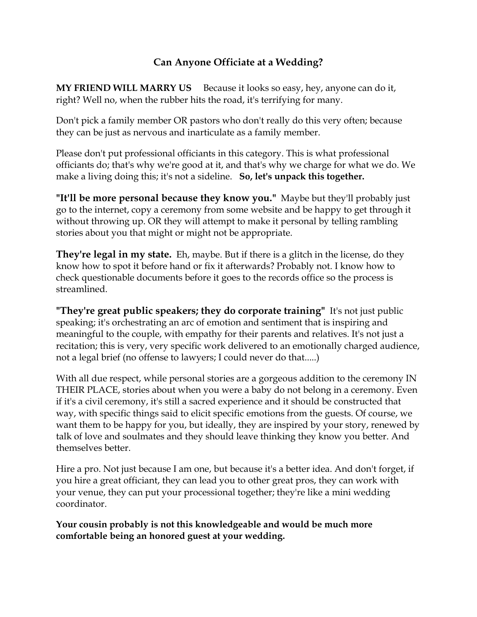## Can Anyone Officiate at a Wedding?

MY FRIEND WILL MARRY US Because it looks so easy, hey, anyone can do it, right? Well no, when the rubber hits the road, it's terrifying for many.

Don't pick a family member OR pastors who don't really do this very often; because they can be just as nervous and inarticulate as a family member.

Please don't put professional officiants in this category. This is what professional officiants do; that's why we're good at it, and that's why we charge for what we do. We make a living doing this; it's not a sideline. So, let's unpack this together.

"It'll be more personal because they know you." Maybe but they'll probably just go to the internet, copy a ceremony from some website and be happy to get through it without throwing up. OR they will attempt to make it personal by telling rambling stories about you that might or might not be appropriate.

They're legal in my state. Eh, maybe. But if there is a glitch in the license, do they know how to spot it before hand or fix it afterwards? Probably not. I know how to check questionable documents before it goes to the records office so the process is streamlined.

"They're great public speakers; they do corporate training" It's not just public speaking; it's orchestrating an arc of emotion and sentiment that is inspiring and meaningful to the couple, with empathy for their parents and relatives. It's not just a recitation; this is very, very specific work delivered to an emotionally charged audience, not a legal brief (no offense to lawyers; I could never do that.....)

With all due respect, while personal stories are a gorgeous addition to the ceremony IN THEIR PLACE, stories about when you were a baby do not belong in a ceremony. Even if it's a civil ceremony, it's still a sacred experience and it should be constructed that way, with specific things said to elicit specific emotions from the guests. Of course, we want them to be happy for you, but ideally, they are inspired by your story, renewed by talk of love and soulmates and they should leave thinking they know you better. And themselves better.

Hire a pro. Not just because I am one, but because it's a better idea. And don't forget, if you hire a great officiant, they can lead you to other great pros, they can work with your venue, they can put your processional together; they're like a mini wedding coordinator.

Your cousin probably is not this knowledgeable and would be much more comfortable being an honored guest at your wedding.